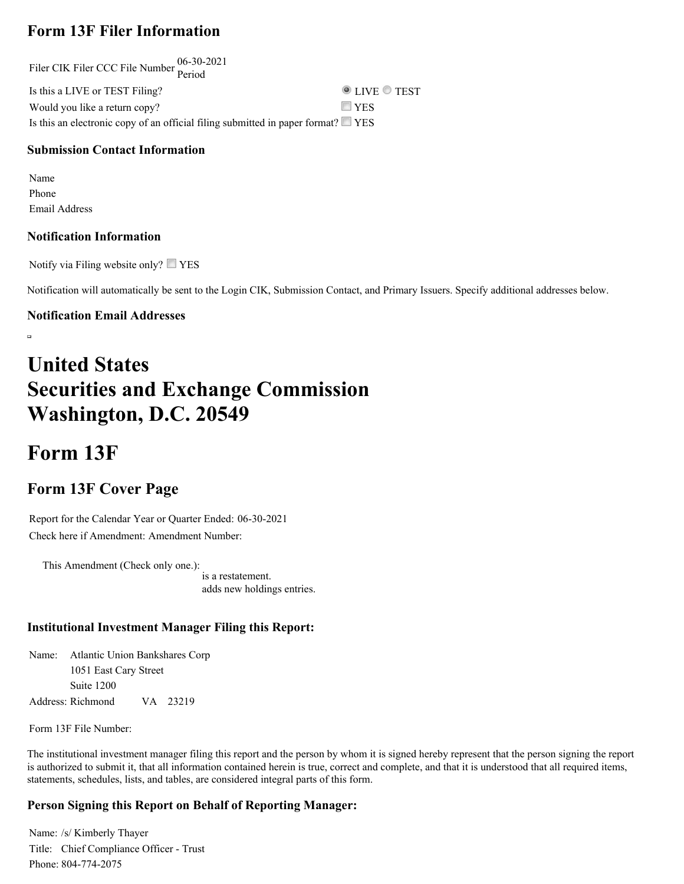## **Form 13F Filer Information**

Filer CIK Filer CCC File Number 06-30-2021 Period Is this a LIVE or TEST Filing?  $\bullet$  LIVE  $\bullet$  TEST Would you like a return copy?  $\Box$  YES Is this an electronic copy of an official filing submitted in paper format?  $\square$  YES

#### **Submission Contact Information**

Name Phone Email Address

#### **Notification Information**

Notify via Filing website only?  $\Box$  YES

Notification will automatically be sent to the Login CIK, Submission Contact, and Primary Issuers. Specify additional addresses below.

#### **Notification Email Addresses**

 $\overline{a}$ 

# **United States Securities and Exchange Commission Washington, D.C. 20549**

## **Form 13F**

### **Form 13F Cover Page**

Report for the Calendar Year or Quarter Ended: 06-30-2021 Check here if Amendment: Amendment Number:

This Amendment (Check only one.): is a restatement. adds new holdings entries.

#### **Institutional Investment Manager Filing this Report:**

Name: Atlantic Union Bankshares Corp Address: Richmond 1051 East Cary Street Suite 1200 VA 23219

Form 13F File Number:

The institutional investment manager filing this report and the person by whom it is signed hereby represent that the person signing the report is authorized to submit it, that all information contained herein is true, correct and complete, and that it is understood that all required items, statements, schedules, lists, and tables, are considered integral parts of this form.

#### **Person Signing this Report on Behalf of Reporting Manager:**

Name: /s/ Kimberly Thayer Title: Chief Compliance Officer - Trust Phone: 804-774-2075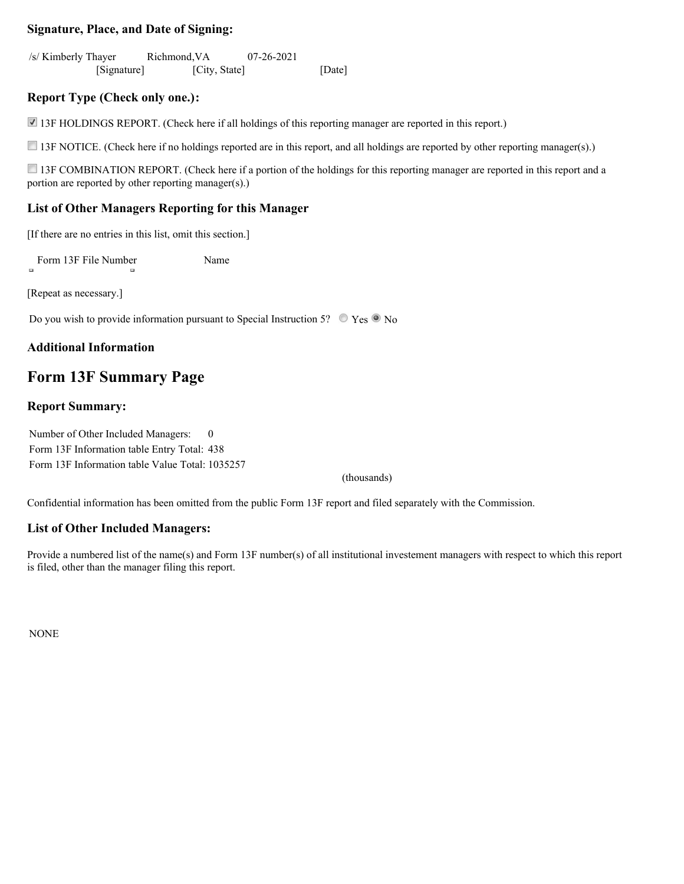#### **Signature, Place, and Date of Signing:**

/s/ Kimberly Thayer [Signature] Richmond,VA [City, State] 07-26-2021 [Date]

#### **Report Type (Check only one.):**

13F HOLDINGS REPORT. (Check here if all holdings of this reporting manager are reported in this report.)

13F NOTICE. (Check here if no holdings reported are in this report, and all holdings are reported by other reporting manager(s).)

13F COMBINATION REPORT. (Check here if a portion of the holdings for this reporting manager are reported in this report and a portion are reported by other reporting manager(s).)

#### **List of Other Managers Reporting for this Manager**

[If there are no entries in this list, omit this section.]

Form 13F File Number Name

[Repeat as necessary.]

Do you wish to provide information pursuant to Special Instruction 5?  $\circ$  Yes  $\circ$  No

#### **Additional Information**

### **Form 13F Summary Page**

#### **Report Summary:**

Number of Other Included Managers: 0 Form 13F Information table Entry Total: 438 Form 13F Information table Value Total: 1035257

(thousands)

Confidential information has been omitted from the public Form 13F report and filed separately with the Commission.

#### **List of Other Included Managers:**

Provide a numbered list of the name(s) and Form 13F number(s) of all institutional investement managers with respect to which this report is filed, other than the manager filing this report.

NONE